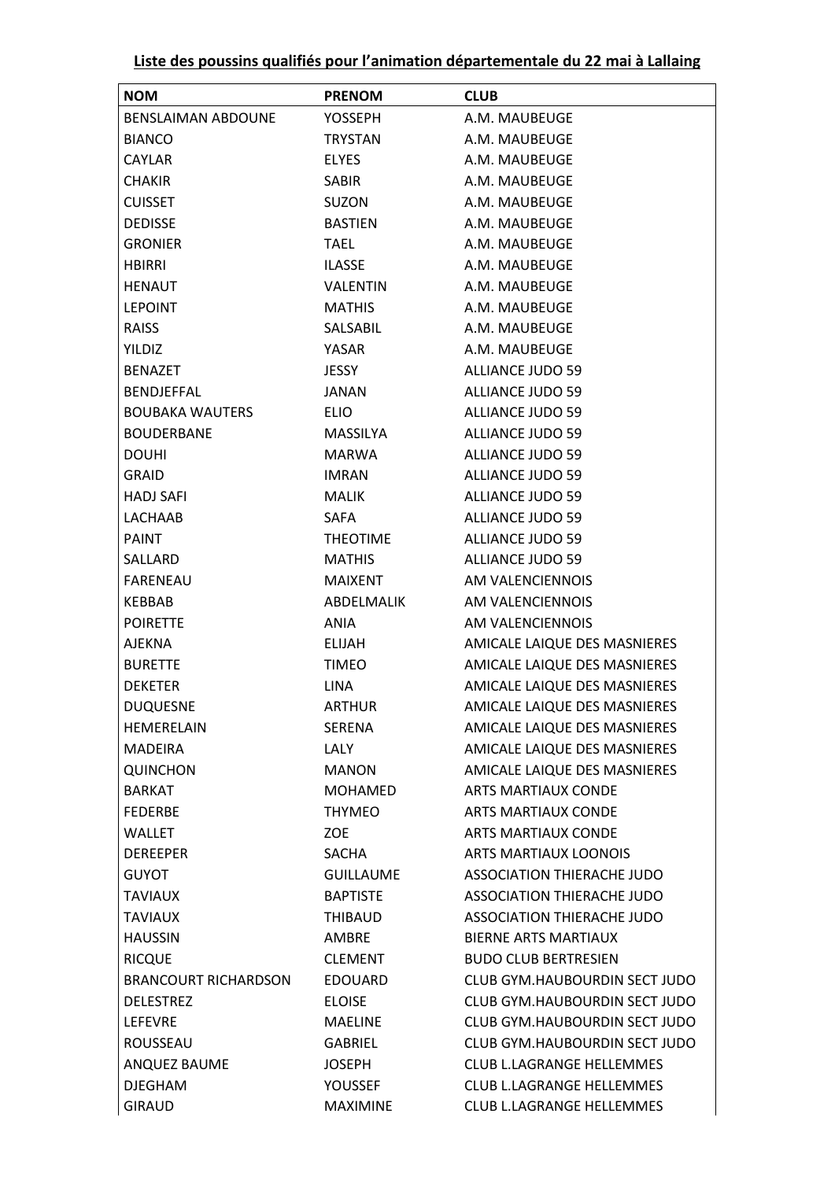| Liste des poussins qualifiés pour l'animation départementale du 22 mai à Lallaing |
|-----------------------------------------------------------------------------------|
|-----------------------------------------------------------------------------------|

| <b>NOM</b>                  | <b>PRENOM</b>   | <b>CLUB</b>                      |
|-----------------------------|-----------------|----------------------------------|
| <b>BENSLAIMAN ABDOUNE</b>   | <b>YOSSEPH</b>  | A.M. MAUBEUGE                    |
| <b>BIANCO</b>               | <b>TRYSTAN</b>  | A.M. MAUBEUGE                    |
| <b>CAYLAR</b>               | <b>ELYES</b>    | A.M. MAUBEUGE                    |
| <b>CHAKIR</b>               | <b>SABIR</b>    | A.M. MAUBEUGE                    |
| <b>CUISSET</b>              | SUZON           | A.M. MAUBEUGE                    |
| <b>DEDISSE</b>              | <b>BASTIEN</b>  | A.M. MAUBEUGE                    |
| <b>GRONIER</b>              | <b>TAEL</b>     | A.M. MAUBEUGE                    |
| <b>HBIRRI</b>               | ILASSE          | A.M. MAUBEUGE                    |
| HENAUT                      | <b>VALENTIN</b> | A.M. MAUBEUGE                    |
| <b>LEPOINT</b>              | <b>MATHIS</b>   | A.M. MAUBEUGE                    |
| <b>RAISS</b>                | SALSABIL        | A.M. MAUBEUGE                    |
| YILDIZ                      | YASAR           | A.M. MAUBEUGE                    |
| <b>BENAZET</b>              | <b>JESSY</b>    | <b>ALLIANCE JUDO 59</b>          |
| <b>BENDJEFFAL</b>           | JANAN           | ALLIANCE JUDO 59                 |
| <b>BOUBAKA WAUTERS</b>      | <b>ELIO</b>     | <b>ALLIANCE JUDO 59</b>          |
| <b>BOUDERBANE</b>           | MASSILYA        | <b>ALLIANCE JUDO 59</b>          |
| <b>DOUHI</b>                | <b>MARWA</b>    | <b>ALLIANCE JUDO 59</b>          |
| <b>GRAID</b>                | <b>IMRAN</b>    | ALLIANCE JUDO 59                 |
| HADJ SAFI                   | MALIK           | <b>ALLIANCE JUDO 59</b>          |
| LACHAAB                     | <b>SAFA</b>     | <b>ALLIANCE JUDO 59</b>          |
| <b>PAINT</b>                | <b>THEOTIME</b> | <b>ALLIANCE JUDO 59</b>          |
| SALLARD                     | <b>MATHIS</b>   | ALLIANCE JUDO 59                 |
| FARENEAU                    | MAIXENT         | AM VALENCIENNOIS                 |
| KEBBAB                      | ABDELMALIK      | AM VALENCIENNOIS                 |
| <b>POIRETTE</b>             | ANIA            | AM VALENCIENNOIS                 |
| <b>AJEKNA</b>               | ELIJAH          | AMICALE LAIQUE DES MASNIERES     |
| <b>BURETTE</b>              | <b>TIMEO</b>    | AMICALE LAIQUE DES MASNIERES     |
| <b>DEKETER</b>              | <b>LINA</b>     | AMICALE LAIQUE DES MASNIERES     |
| <b>DUQUESNE</b>             | ARTHUR          | AMICALE LAIQUE DES MASNIERES     |
| HEMERELAIN                  | SERENA          | AMICALE LAIQUE DES MASNIERES     |
| <b>MADEIRA</b>              | LALY            | AMICALE LAIQUE DES MASNIERES     |
| <b>QUINCHON</b>             | <b>MANON</b>    | AMICALE LAIQUE DES MASNIERES     |
| <b>BARKAT</b>               | <b>MOHAMED</b>  | <b>ARTS MARTIAUX CONDE</b>       |
| <b>FEDERBE</b>              | <b>THYMEO</b>   | <b>ARTS MARTIAUX CONDE</b>       |
| WALLET                      | <b>ZOE</b>      | <b>ARTS MARTIAUX CONDE</b>       |
| <b>DEREEPER</b>             | SACHA           | <b>ARTS MARTIAUX LOONOIS</b>     |
| <b>GUYOT</b>                | GUILLAUME       | ASSOCIATION THIERACHE JUDO       |
| <b>TAVIAUX</b>              | <b>BAPTISTE</b> | ASSOCIATION THIERACHE JUDO       |
| <b>TAVIAUX</b>              | THIBAUD         | ASSOCIATION THIERACHE JUDO       |
| <b>HAUSSIN</b>              | AMBRE           | <b>BIERNE ARTS MARTIAUX</b>      |
| <b>RICQUE</b>               | CLEMENT         | <b>BUDO CLUB BERTRESIEN</b>      |
| <b>BRANCOURT RICHARDSON</b> | EDOUARD         | CLUB GYM.HAUBOURDIN SECT JUDO    |
| <b>DELESTREZ</b>            | <b>ELOISE</b>   | CLUB GYM.HAUBOURDIN SECT JUDO    |
| <b>LEFEVRE</b>              | MAELINE         | CLUB GYM.HAUBOURDIN SECT JUDO    |
| ROUSSEAU                    | GABRIEL         | CLUB GYM.HAUBOURDIN SECT JUDO    |
| ANQUEZ BAUME                | <b>JOSEPH</b>   | <b>CLUB L.LAGRANGE HELLEMMES</b> |
| <b>DJEGHAM</b>              | YOUSSEF         | CLUB L.LAGRANGE HELLEMMES        |
| <b>GIRAUD</b>               | MAXIMINE        | CLUB L.LAGRANGE HELLEMMES        |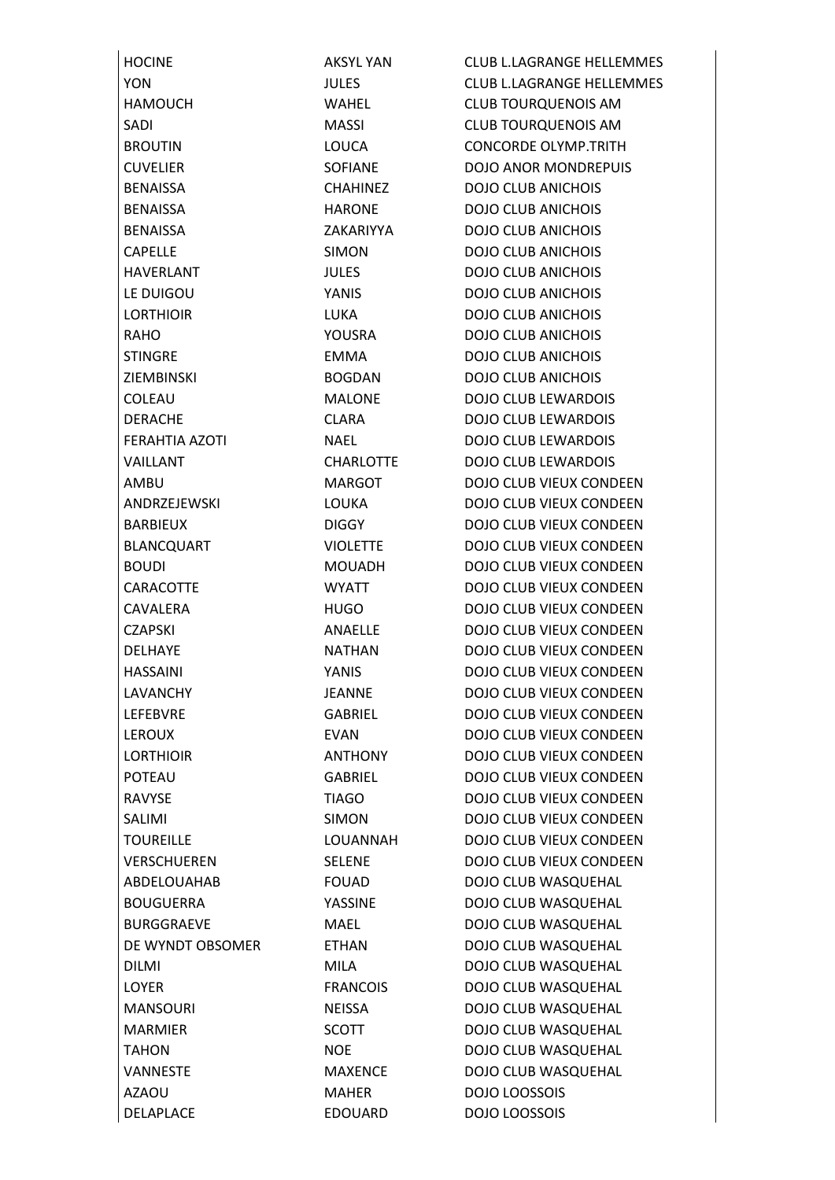BENAISSA CHAHINEZ DOJO CLUB ANICHOIS BENAISSA HARONE DOJO CLUB ANICHOIS BENAISSA ZAKARIYYA DOJO CLUB ANICHOIS CAPELLE SIMON DOJO CLUB ANICHOIS HAVERLANT JULES DOJO CLUB ANICHOIS LE DUIGOU YANIS DOJO CLUB ANICHOIS LORTHIOIR LUKA DOJO CLUB ANICHOIS RAHO YOUSRA DOJO CLUB ANICHOIS STINGRE **EMMA** DOJO CLUB ANICHOIS ZIEMBINSKI BOGDAN DOJO CLUB ANICHOIS AZAOU MAHER DOJO LOOSSOIS DELAPLACE EDOUARD DOJO LOOSSOIS

HOCINE **AKSYL YAN CLUB L.LAGRANGE HELLEMMES** YON JULES CLUB L.LAGRANGE HELLEMMES HAMOUCH WAHEL CLUB TOURQUENOIS AM SADI MASSI CLUB TOURQUENOIS AM **BROUTIN LOUCA LOUCA CONCORDE OLYMP.TRITH** CUVELIER SOFIANE DOJO ANOR MONDREPUIS COLEAU MALONE DOJO CLUB LEWARDOIS DERACHE CLARA DOJO CLUB LEWARDOIS FERAHTIA AZOTI NAEL DOJO CLUB LEWARDOIS VAILLANT CHARLOTTE DOJO CLUB LEWARDOIS AMBU MARGOT DOJO CLUB VIEUX CONDEEN ANDRZEJEWSKI LOUKA DOJO CLUB VIEUX CONDEEN BARBIEUX DIGGY DOJO CLUB VIEUX CONDEEN BLANCQUART VIOLETTE DOJO CLUB VIEUX CONDEEN BOUDI MOUADH DOJO CLUB VIEUX CONDEEN CARACOTTE WYATT DOJO CLUB VIEUX CONDEEN CAVALERA HUGO DOJO CLUB VIEUX CONDEEN CZAPSKI ANAELLE DOJO CLUB VIEUX CONDEEN DELHAYE NATHAN DOJO CLUB VIEUX CONDEEN HASSAINI YANIS DOJO CLUB VIEUX CONDEEN LAVANCHY JEANNE DOJO CLUB VIEUX CONDEEN LEFEBVRE GABRIEL DOJO CLUB VIEUX CONDEEN LEROUX EVAN DOJO CLUB VIEUX CONDEEN LORTHIOIR ANTHONY DOJO CLUB VIEUX CONDEEN POTEAU GABRIEL DOJO CLUB VIEUX CONDEEN RAVYSE TIAGO DOJO CLUB VIEUX CONDEEN SALIMI SIMON DOJO CLUB VIEUX CONDEEN TOUREILLE LOUANNAH DOJO CLUB VIEUX CONDEEN VERSCHUEREN SELENE DOJO CLUB VIEUX CONDEEN ABDELOUAHAB FOUAD DOJO CLUB WASQUEHAL BOUGUERRA YASSINE DOJO CLUB WASQUEHAL BURGGRAEVE MAEL DOJO CLUB WASQUEHAL DE WYNDT OBSOMER ETHAN DOJO CLUB WASQUEHAL DILMI MILA MILA DOJO CLUB WASQUEHAL LOYER FRANCOIS DOJO CLUB WASQUEHAL MANSOURI NEISSA DOJO CLUB WASQUEHAL MARMIER SCOTT DOJO CLUB WASQUEHAL TAHON NOE NOE DOJO CLUB WASQUEHAL VANNESTE MAXENCE DOJO CLUB WASQUEHAL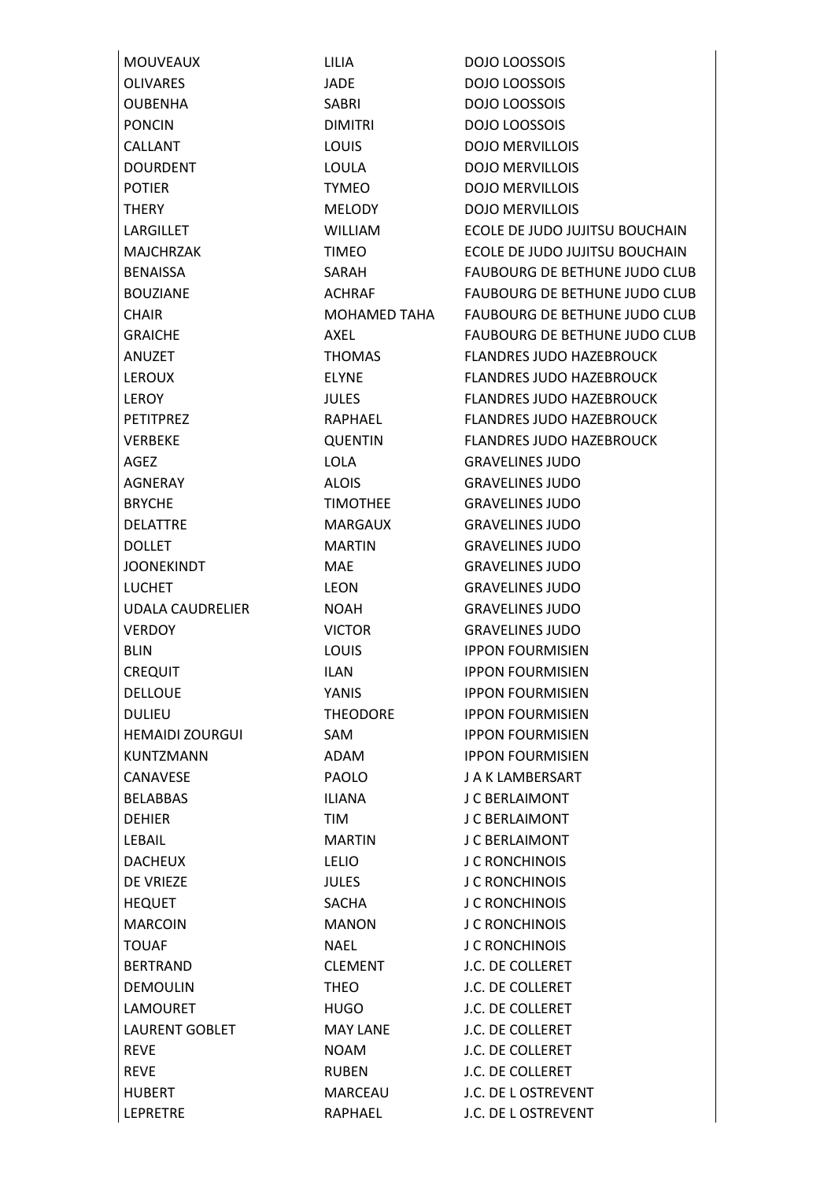| <b>MOUVEAUX</b>         | LILIA               | DOJO LOOSSOIS                        |
|-------------------------|---------------------|--------------------------------------|
| <b>OLIVARES</b>         | <b>JADE</b>         | <b>DOJO LOOSSOIS</b>                 |
| <b>OUBENHA</b>          | SABRI               | <b>DOJO LOOSSOIS</b>                 |
| <b>PONCIN</b>           | <b>DIMITRI</b>      | <b>DOJO LOOSSOIS</b>                 |
| <b>CALLANT</b>          | <b>LOUIS</b>        | <b>DOJO MERVILLOIS</b>               |
| <b>DOURDENT</b>         | <b>LOULA</b>        | <b>DOJO MERVILLOIS</b>               |
| <b>POTIER</b>           | <b>TYMEO</b>        | <b>DOJO MERVILLOIS</b>               |
| <b>THERY</b>            | MELODY              | <b>DOJO MERVILLOIS</b>               |
| LARGILLET               | WILLIAM             | ECOLE DE JUDO JUJITSU BOUCHAIN       |
| <b>MAJCHRZAK</b>        | <b>TIMEO</b>        | ECOLE DE JUDO JUJITSU BOUCHAIN       |
| <b>BENAISSA</b>         | SARAH               | <b>FAUBOURG DE BETHUNE JUDO CLUB</b> |
| <b>BOUZIANE</b>         | ACHRAF              | <b>FAUBOURG DE BETHUNE JUDO CLUB</b> |
| <b>CHAIR</b>            | <b>MOHAMED TAHA</b> | <b>FAUBOURG DE BETHUNE JUDO CLUB</b> |
| <b>GRAICHE</b>          | AXEL                | <b>FAUBOURG DE BETHUNE JUDO CLUB</b> |
| <b>ANUZET</b>           | THOMAS              | <b>FLANDRES JUDO HAZEBROUCK</b>      |
| <b>LEROUX</b>           | <b>ELYNE</b>        | <b>FLANDRES JUDO HAZEBROUCK</b>      |
| <b>LEROY</b>            | <b>JULES</b>        | <b>FLANDRES JUDO HAZEBROUCK</b>      |
| <b>PETITPREZ</b>        | RAPHAEL             | <b>FLANDRES JUDO HAZEBROUCK</b>      |
| <b>VERBEKE</b>          | QUENTIN             | <b>FLANDRES JUDO HAZEBROUCK</b>      |
| AGEZ                    | <b>LOLA</b>         | <b>GRAVELINES JUDO</b>               |
| AGNERAY                 | <b>ALOIS</b>        | <b>GRAVELINES JUDO</b>               |
| <b>BRYCHE</b>           | <b>TIMOTHEE</b>     | <b>GRAVELINES JUDO</b>               |
| <b>DELATTRE</b>         | MARGAUX             | <b>GRAVELINES JUDO</b>               |
| <b>DOLLET</b>           | <b>MARTIN</b>       | <b>GRAVELINES JUDO</b>               |
| <b>JOONEKINDT</b>       | <b>MAE</b>          | <b>GRAVELINES JUDO</b>               |
| <b>LUCHET</b>           | <b>LEON</b>         | <b>GRAVELINES JUDO</b>               |
| <b>UDALA CAUDRELIER</b> | <b>NOAH</b>         | <b>GRAVELINES JUDO</b>               |
| <b>VERDOY</b>           | <b>VICTOR</b>       | <b>GRAVELINES JUDO</b>               |
| <b>BLIN</b>             | <b>LOUIS</b>        | <b>IPPON FOURMISIEN</b>              |
| <b>CREQUIT</b>          | ILAN                | <b>IPPON FOURMISIEN</b>              |
| <b>DELLOUE</b>          | YANIS               | <b>IPPON FOURMISIEN</b>              |
| <b>DULIEU</b>           | <b>THEODORE</b>     | <b>IPPON FOURMISIEN</b>              |
| <b>HEMAIDI ZOURGUI</b>  | SAM                 | <b>IPPON FOURMISIEN</b>              |
| <b>KUNTZMANN</b>        | ADAM                | <b>IPPON FOURMISIEN</b>              |
| CANAVESE                | PAOLO               | J A K LAMBERSART                     |
| <b>BELABBAS</b>         | <b>ILIANA</b>       | <b>J C BERLAIMONT</b>                |
| <b>DEHIER</b>           | TIM                 | <b>J C BERLAIMONT</b>                |
| LEBAIL                  | MARTIN              | <b>J C BERLAIMONT</b>                |
| <b>DACHEUX</b>          | <b>LELIO</b>        | <b>J C RONCHINOIS</b>                |
| DE VRIEZE               | <b>JULES</b>        | <b>J C RONCHINOIS</b>                |
| <b>HEQUET</b>           | SACHA               | <b>J C RONCHINOIS</b>                |
| <b>MARCOIN</b>          | MANON               | <b>J C RONCHINOIS</b>                |
| <b>TOUAF</b>            | NAEL                | <b>J C RONCHINOIS</b>                |
| <b>BERTRAND</b>         | <b>CLEMENT</b>      | J.C. DE COLLERET                     |
| <b>DEMOULIN</b>         | <b>THEO</b>         | J.C. DE COLLERET                     |
| <b>LAMOURET</b>         | HUGO                | J.C. DE COLLERET                     |
| <b>LAURENT GOBLET</b>   | <b>MAY LANE</b>     | J.C. DE COLLERET                     |
| <b>REVE</b>             | <b>NOAM</b>         | J.C. DE COLLERET                     |
| <b>REVE</b>             | RUBEN               | J.C. DE COLLERET                     |
| <b>HUBERT</b>           | MARCEAU             | J.C. DE L OSTREVENT                  |
| <b>LEPRETRE</b>         | RAPHAEL             | J.C. DE L OSTREVENT                  |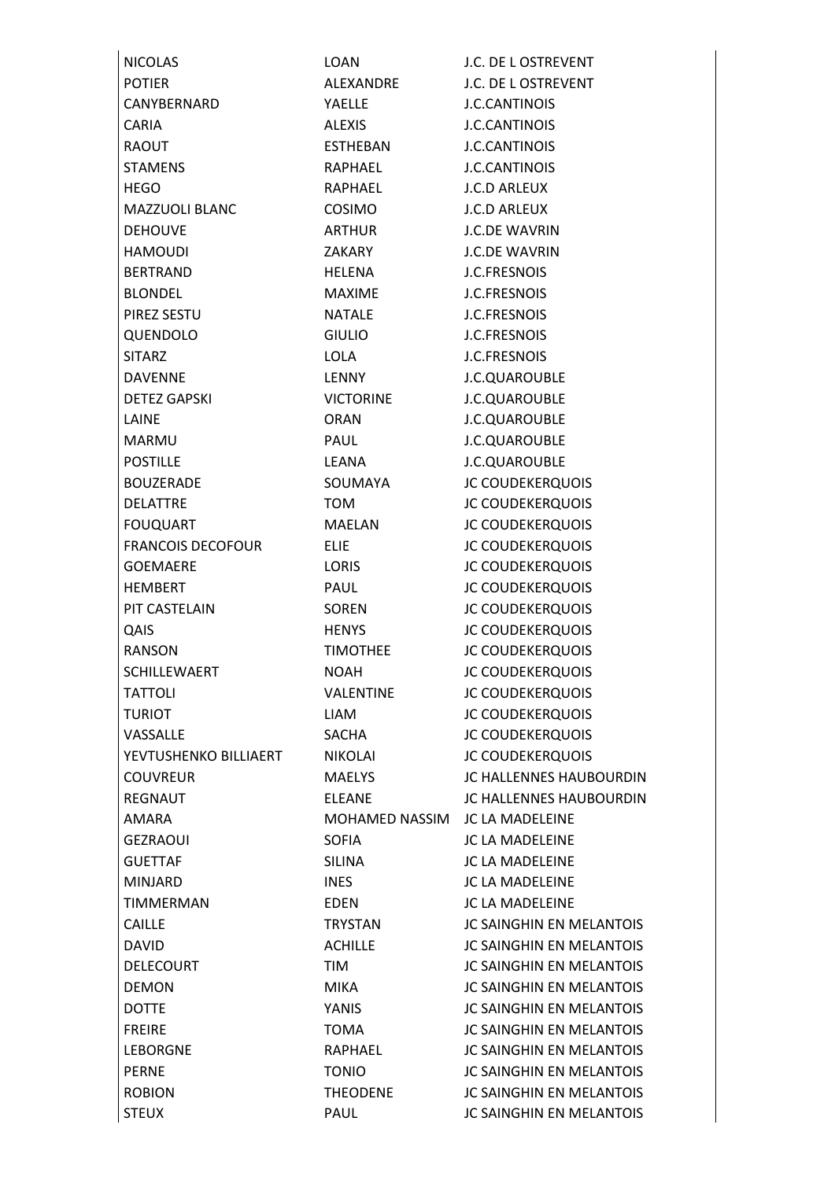| <b>NICOLAS</b>           | <b>LOAN</b>      | J.C. DE L OSTREVENT             |
|--------------------------|------------------|---------------------------------|
| <b>POTIER</b>            | ALEXANDRE        | J.C. DE L OSTREVENT             |
| CANYBERNARD              | YAELLE           | <b>J.C.CANTINOIS</b>            |
| <b>CARIA</b>             | <b>ALEXIS</b>    | <b>J.C.CANTINOIS</b>            |
| <b>RAOUT</b>             | ESTHEBAN         | <b>J.C.CANTINOIS</b>            |
| <b>STAMENS</b>           | RAPHAEL          | <b>J.C.CANTINOIS</b>            |
| <b>HEGO</b>              | RAPHAEL          | <b>J.C.D ARLEUX</b>             |
| <b>MAZZUOLI BLANC</b>    | <b>COSIMO</b>    | <b>J.C.D ARLEUX</b>             |
| <b>DEHOUVE</b>           | ARTHUR           | <b>J.C.DE WAVRIN</b>            |
| <b>HAMOUDI</b>           | ZAKARY           | <b>J.C.DE WAVRIN</b>            |
| <b>BERTRAND</b>          | <b>HELENA</b>    | <b>J.C.FRESNOIS</b>             |
| <b>BLONDEL</b>           | <b>MAXIME</b>    | <b>J.C.FRESNOIS</b>             |
| PIREZ SESTU              | <b>NATALE</b>    | <b>J.C.FRESNOIS</b>             |
| QUENDOLO                 | <b>GIULIO</b>    | <b>J.C.FRESNOIS</b>             |
| <b>SITARZ</b>            | <b>LOLA</b>      | <b>J.C.FRESNOIS</b>             |
| <b>DAVENNE</b>           | LENNY            | J.C.QUAROUBLE                   |
| <b>DETEZ GAPSKI</b>      | <b>VICTORINE</b> | J.C.QUAROUBLE                   |
| LAINE                    | <b>ORAN</b>      | J.C.QUAROUBLE                   |
| <b>MARMU</b>             | <b>PAUL</b>      | J.C.QUAROUBLE                   |
| <b>POSTILLE</b>          | LEANA            | J.C.QUAROUBLE                   |
| <b>BOUZERADE</b>         | SOUMAYA          | <b>JC COUDEKERQUOIS</b>         |
| <b>DELATTRE</b>          | <b>TOM</b>       | <b>JC COUDEKERQUOIS</b>         |
| <b>FOUQUART</b>          | MAELAN           | <b>JC COUDEKERQUOIS</b>         |
| <b>FRANCOIS DECOFOUR</b> | <b>ELIE</b>      | <b>JC COUDEKERQUOIS</b>         |
| <b>GOEMAERE</b>          | LORIS            | <b>JC COUDEKERQUOIS</b>         |
| <b>HEMBERT</b>           | PAUL             | <b>JC COUDEKERQUOIS</b>         |
| PIT CASTELAIN            | SOREN            | <b>JC COUDEKERQUOIS</b>         |
| QAIS                     | <b>HENYS</b>     | <b>JC COUDEKERQUOIS</b>         |
| RANSON                   | <b>TIMOTHEE</b>  | <b>JC COUDEKERQUOIS</b>         |
| <b>SCHILLEWAERT</b>      | <b>NOAH</b>      | <b>JC COUDEKERQUOIS</b>         |
| <b>TATTOLI</b>           | <b>VALENTINE</b> | <b>JC COUDEKERQUOIS</b>         |
| <b>TURIOT</b>            | <b>LIAM</b>      | <b>JC COUDEKERQUOIS</b>         |
| VASSALLE                 | <b>SACHA</b>     | <b>JC COUDEKERQUOIS</b>         |
| YEVTUSHENKO BILLIAERT    | NIKOLAI          | <b>JC COUDEKERQUOIS</b>         |
| <b>COUVREUR</b>          | <b>MAELYS</b>    | <b>JC HALLENNES HAUBOURDIN</b>  |
| <b>REGNAUT</b>           | <b>ELEANE</b>    | <b>JC HALLENNES HAUBOURDIN</b>  |
| <b>AMARA</b>             | MOHAMED NASSIM   | <b>JC LA MADELEINE</b>          |
| <b>GEZRAOUI</b>          | <b>SOFIA</b>     | <b>JC LA MADELEINE</b>          |
| <b>GUETTAF</b>           | <b>SILINA</b>    | <b>JC LA MADELEINE</b>          |
| <b>MINJARD</b>           | <b>INES</b>      | <b>JC LA MADELEINE</b>          |
| <b>TIMMERMAN</b>         | <b>EDEN</b>      | <b>JC LA MADELEINE</b>          |
| <b>CAILLE</b>            | TRYSTAN          | <b>JC SAINGHIN EN MELANTOIS</b> |
| <b>DAVID</b>             | <b>ACHILLE</b>   | <b>JC SAINGHIN EN MELANTOIS</b> |
| <b>DELECOURT</b>         | TIM              | <b>JC SAINGHIN EN MELANTOIS</b> |
| <b>DEMON</b>             | <b>MIKA</b>      | <b>JC SAINGHIN EN MELANTOIS</b> |
| <b>DOTTE</b>             | YANIS            | <b>JC SAINGHIN EN MELANTOIS</b> |
| <b>FREIRE</b>            | <b>TOMA</b>      | <b>JC SAINGHIN EN MELANTOIS</b> |
| <b>LEBORGNE</b>          | RAPHAEL          | <b>JC SAINGHIN EN MELANTOIS</b> |
| <b>PERNE</b>             | <b>TONIO</b>     | <b>JC SAINGHIN EN MELANTOIS</b> |
| <b>ROBION</b>            | <b>THEODENE</b>  | <b>JC SAINGHIN EN MELANTOIS</b> |
| <b>STEUX</b>             | PAUL             | JC SAINGHIN EN MELANTOIS        |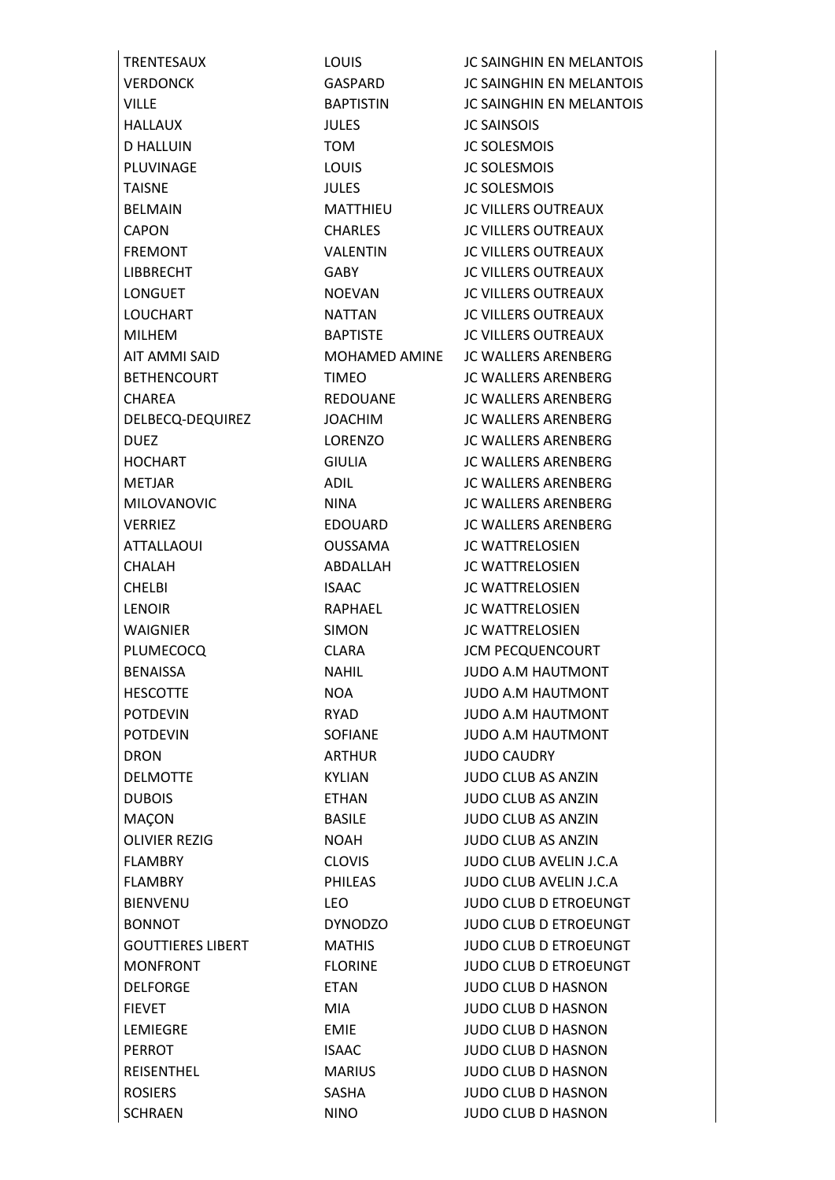HALLAUX JULES JC SAINSOIS D HALLUIN TOM JC SOLESMOIS PLUVINAGE LOUIS LOUIS JC SOLESMOIS TAISNE JULES JULES JC SOLESMOIS ATTALLAOUI OUSSAMA JC WATTRELOSIEN CHALAH ABDALLAH JC WATTRELOSIEN CHELBI ISAAC JC WATTRELOSIEN LENOIR RAPHAEL JC WATTRELOSIEN WAIGNIER SIMON JC WATTRELOSIEN DRON ARTHUR JUDO CAUDRY SCHRAEN NINO JUDO CLUB D HASNON

TRENTESAUX LOUIS JC SAINGHIN EN MELANTOIS VERDONCK GASPARD JC SAINGHIN EN MELANTOIS VILLE BAPTISTIN JC SAINGHIN EN MELANTOIS BELMAIN MATTHIEU JC VILLERS OUTREAUX CAPON CHARLES JC VILLERS OUTREAUX FREMONT VALENTIN JC VILLERS OUTREAUX LIBBRECHT GABY JC VILLERS OUTREAUX LONGUET NOEVAN JC VILLERS OUTREAUX LOUCHART NATTAN JC VILLERS OUTREAUX MILHEM BAPTISTE JC VILLERS OUTREAUX AIT AMMI SAID MOHAMED AMINE JC WALLERS ARENBERG BETHENCOURT TIMEO JC WALLERS ARENBERG CHAREA REDOUANE JC WALLERS ARENBERG DELBECQ-DEQUIREZ JOACHIM JC WALLERS ARENBERG DUEZ LORENZO JC WALLERS ARENBERG HOCHART GIULIA JC WALLERS ARENBERG METJAR ADIL ADIL JC WALLERS ARENBERG MILOVANOVIC NINA IC WALLERS ARENBERG VERRIEZ EDOUARD JC WALLERS ARENBERG PLUMECOCQ CLARA JCM PECQUENCOURT BENAISSA NAHIL JUDO A.M HAUTMONT HESCOTTE NOA JUDO A.M HAUTMONT POTDEVIN RYAD JUDO A.M HAUTMONT POTDEVIN SOFIANE JUDO A.M HAUTMONT DELMOTTE KYLIAN JUDO CLUB AS ANZIN DUBOIS ETHAN JUDO CLUB AS ANZIN MAÇON BASILE JUDO CLUB AS ANZIN OLIVIER REZIG **NOAH**MOAH
UUDO CLUB AS ANZIN FLAMBRY CLOVIS JUDO CLUB AVELIN J.C.A FLAMBRY PHILEAS JUDO CLUB AVELIN J.C.A BIENVENU LEO LEO JUDO CLUB D ETROEUNGT BONNOT **DYNODZO** JUDO CLUB D ETROEUNGT GOUTTIERES LIBERT MATHIS JUDO CLUB D ETROEUNGT MONFRONT FLORINE JUDO CLUB D ETROEUNGT DELFORGE ETAN JUDO CLUB D HASNON FIEVET MIA JUDO CLUB D HASNON LEMIEGRE EMIE JUDO CLUB D HASNON PERROT ISAAC JUDO CLUB D HASNON REISENTHEL MARIUS JUDO CLUB D HASNON ROSIERS SASHA JUDO CLUB D HASNON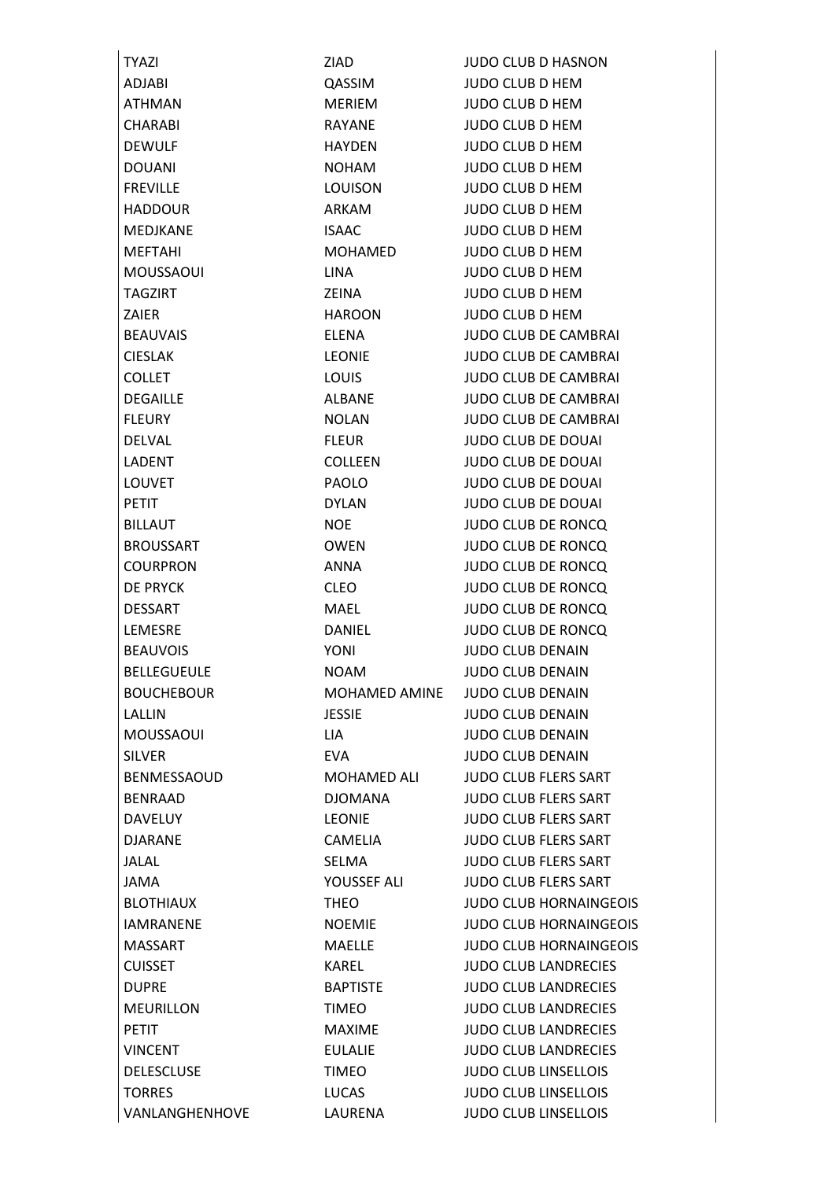| <b>TYAZI</b>       | ZIAD.          | <b>JUDO CLUB D HASNON</b>     |
|--------------------|----------------|-------------------------------|
| <b>ADJABI</b>      | QASSIM         | <b>JUDO CLUB D HEM</b>        |
| ATHMAN             | MERIEM         | <b>JUDO CLUB D HEM</b>        |
| CHARABI            | RAYANE         | <b>JUDO CLUB D HEM</b>        |
| <b>DEWULF</b>      | <b>HAYDEN</b>  | <b>JUDO CLUB D HEM</b>        |
| <b>DOUANI</b>      | <b>NOHAM</b>   | <b>JUDO CLUB D HEM</b>        |
| <b>FREVILLE</b>    | LOUISON        | <b>JUDO CLUB D HEM</b>        |
| <b>HADDOUR</b>     | ARKAM          | <b>JUDO CLUB D HEM</b>        |
| MEDJKANE           | <b>ISAAC</b>   | <b>JUDO CLUB D HEM</b>        |
| <b>MEFTAHI</b>     | <b>MOHAMED</b> | <b>JUDO CLUB D HEM</b>        |
| <b>MOUSSAOUI</b>   | <b>LINA</b>    | <b>JUDO CLUB D HEM</b>        |
| <b>TAGZIRT</b>     | ZEINA          | <b>JUDO CLUB D HEM</b>        |
| <b>ZAIER</b>       | <b>HAROON</b>  | <b>JUDO CLUB D HEM</b>        |
| <b>BEAUVAIS</b>    | <b>ELENA</b>   | <b>JUDO CLUB DE CAMBRAI</b>   |
| <b>CIESLAK</b>     | <b>LEONIE</b>  | <b>JUDO CLUB DE CAMBRAI</b>   |
| <b>COLLET</b>      | <b>LOUIS</b>   | <b>JUDO CLUB DE CAMBRAI</b>   |
| <b>DEGAILLE</b>    | <b>ALBANE</b>  | <b>JUDO CLUB DE CAMBRAI</b>   |
| <b>FLEURY</b>      | <b>NOLAN</b>   | <b>JUDO CLUB DE CAMBRAI</b>   |
| <b>DELVAL</b>      | <b>FLEUR</b>   | <b>JUDO CLUB DE DOUAI</b>     |
| LADENT             | <b>COLLEEN</b> | <b>JUDO CLUB DE DOUAI</b>     |
| <b>LOUVET</b>      | <b>PAOLO</b>   | <b>JUDO CLUB DE DOUAI</b>     |
| <b>PETIT</b>       | <b>DYLAN</b>   | <b>JUDO CLUB DE DOUAI</b>     |
| <b>BILLAUT</b>     | <b>NOE</b>     | <b>JUDO CLUB DE RONCQ</b>     |
| <b>BROUSSART</b>   | <b>OWEN</b>    | <b>JUDO CLUB DE RONCQ</b>     |
| <b>COURPRON</b>    | <b>ANNA</b>    | <b>JUDO CLUB DE RONCQ</b>     |
| <b>DE PRYCK</b>    | <b>CLEO</b>    | <b>JUDO CLUB DE RONCQ</b>     |
| <b>DESSART</b>     | MAEL           | <b>JUDO CLUB DE RONCQ</b>     |
| LEMESRE            | <b>DANIEL</b>  | <b>JUDO CLUB DE RONCQ</b>     |
| <b>BEAUVOIS</b>    | <b>YONI</b>    | <b>JUDO CLUB DENAIN</b>       |
| <b>BELLEGUEULE</b> | <b>NOAM</b>    | <b>JUDO CLUB DENAIN</b>       |
| <b>BOUCHEBOUR</b>  | MOHAMED AMINE  | <b>JUDO CLUB DENAIN</b>       |
| LALLIN             | <b>JESSIE</b>  | <b>JUDO CLUB DENAIN</b>       |
| MOUSSAOUI          | LIA            | <b>JUDO CLUB DENAIN</b>       |
| <b>SILVER</b>      | <b>EVA</b>     | <b>JUDO CLUB DENAIN</b>       |
| BENMESSAOUD        | MOHAMED ALI    | <b>JUDO CLUB FLERS SART</b>   |
| <b>BENRAAD</b>     | <b>DJOMANA</b> | JUDO CLUB FLERS SART          |
| <b>DAVELUY</b>     | <b>LEONIE</b>  | <b>JUDO CLUB FLERS SART</b>   |
| <b>DJARANE</b>     | CAMELIA        | <b>JUDO CLUB FLERS SART</b>   |
| JALAL              | SELMA          | <b>JUDO CLUB FLERS SART</b>   |
| JAMA               | YOUSSEF ALI    | <b>JUDO CLUB FLERS SART</b>   |
| <b>BLOTHIAUX</b>   | <b>THEO</b>    | <b>JUDO CLUB HORNAINGEOIS</b> |
| <b>IAMRANENE</b>   | NOEMIE         | <b>JUDO CLUB HORNAINGEOIS</b> |
| <b>MASSART</b>     | MAELLE         | <b>JUDO CLUB HORNAINGEOIS</b> |
| <b>CUISSET</b>     | KAREL          | <b>JUDO CLUB LANDRECIES</b>   |
| <b>DUPRE</b>       | BAPTISTE       | <b>JUDO CLUB LANDRECIES</b>   |
| <b>MEURILLON</b>   | <b>TIMEO</b>   | <b>JUDO CLUB LANDRECIES</b>   |
| <b>PETIT</b>       | MAXIME         | <b>JUDO CLUB LANDRECIES</b>   |
| <b>VINCENT</b>     | <b>EULALIE</b> | <b>JUDO CLUB LANDRECIES</b>   |
| <b>DELESCLUSE</b>  | <b>TIMEO</b>   | <b>JUDO CLUB LINSELLOIS</b>   |
| <b>TORRES</b>      | LUCAS          | <b>JUDO CLUB LINSELLOIS</b>   |
| VANLANGHENHOVE     | LAURENA        | <b>JUDO CLUB LINSELLOIS</b>   |
|                    |                |                               |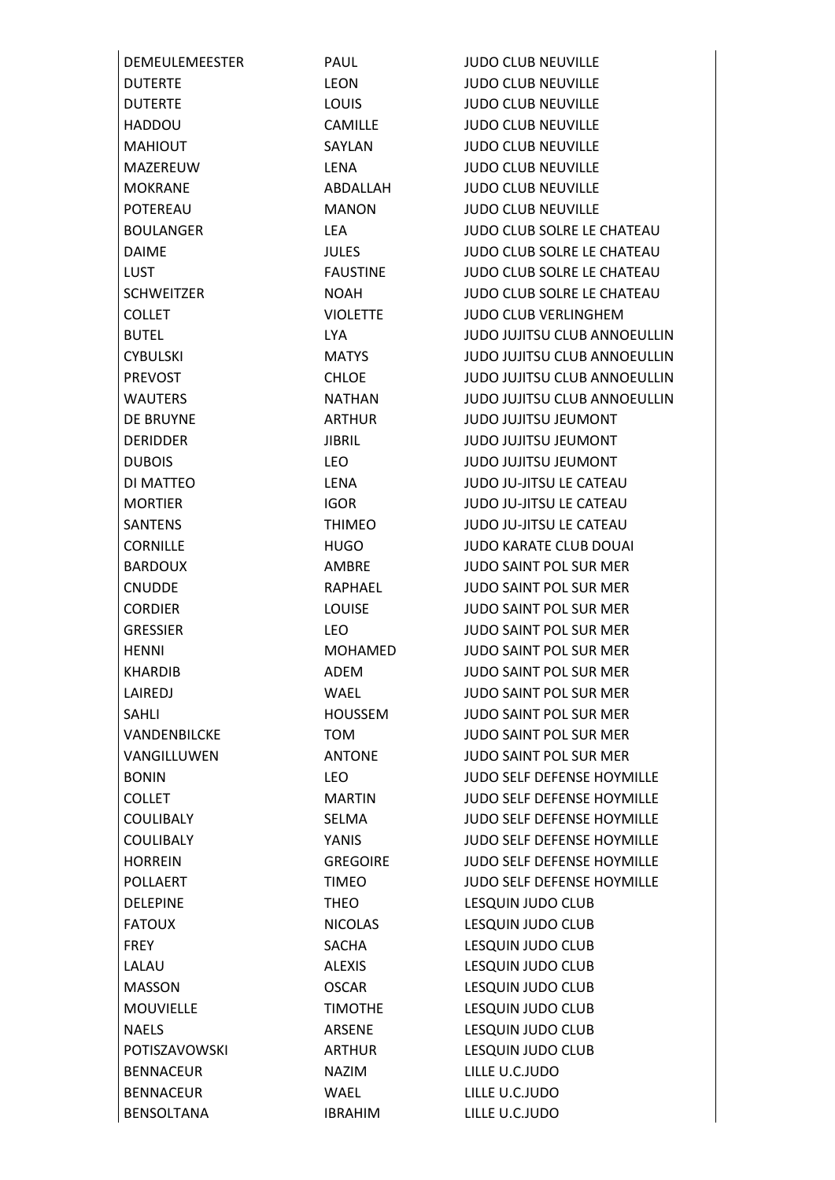| <b>DEMEULEMEESTER</b> | PAUL            | <b>JUDO CLUB NEUVILLE</b>           |
|-----------------------|-----------------|-------------------------------------|
| <b>DUTERTE</b>        | <b>LEON</b>     | <b>JUDO CLUB NEUVILLE</b>           |
| <b>DUTERTE</b>        | <b>LOUIS</b>    | <b>JUDO CLUB NEUVILLE</b>           |
| <b>HADDOU</b>         | <b>CAMILLE</b>  | <b>JUDO CLUB NEUVILLE</b>           |
| <b>MAHIOUT</b>        | SAYLAN          | <b>JUDO CLUB NEUVILLE</b>           |
| MAZEREUW              | <b>LENA</b>     | <b>JUDO CLUB NEUVILLE</b>           |
| <b>MOKRANE</b>        | ABDALLAH        | <b>JUDO CLUB NEUVILLE</b>           |
| POTEREAU              | <b>MANON</b>    | <b>JUDO CLUB NEUVILLE</b>           |
| <b>BOULANGER</b>      | LEA             | JUDO CLUB SOLRE LE CHATEAU          |
| <b>DAIME</b>          | <b>JULES</b>    | <b>JUDO CLUB SOLRE LE CHATEAU</b>   |
| <b>LUST</b>           | <b>FAUSTINE</b> | <b>JUDO CLUB SOLRE LE CHATEAU</b>   |
| <b>SCHWEITZER</b>     | <b>NOAH</b>     | <b>JUDO CLUB SOLRE LE CHATEAU</b>   |
| <b>COLLET</b>         | <b>VIOLETTE</b> | <b>JUDO CLUB VERLINGHEM</b>         |
| <b>BUTEL</b>          | LYA.            | <b>JUDO JUJITSU CLUB ANNOEULLIN</b> |
| <b>CYBULSKI</b>       | <b>MATYS</b>    | JUDO JUJITSU CLUB ANNOEULLIN        |
| <b>PREVOST</b>        | <b>CHLOE</b>    | <b>JUDO JUJITSU CLUB ANNOEULLIN</b> |
| <b>WAUTERS</b>        | <b>NATHAN</b>   | JUDO JUJITSU CLUB ANNOEULLIN        |
| DE BRUYNE             | <b>ARTHUR</b>   | <b>JUDO JUJITSU JEUMONT</b>         |
| <b>DERIDDER</b>       | <b>JIBRIL</b>   | JUDO JUJITSU JEUMONT                |
| <b>DUBOIS</b>         | <b>LEO</b>      | JUDO JUJITSU JEUMONT                |
| DI MATTEO             | LENA            | JUDO JU-JITSU LE CATEAU             |
| <b>MORTIER</b>        | <b>IGOR</b>     | <b>JUDO JU-JITSU LE CATEAU</b>      |
| <b>SANTENS</b>        | <b>THIMEO</b>   | <b>JUDO JU-JITSU LE CATEAU</b>      |
| <b>CORNILLE</b>       | <b>HUGO</b>     | <b>JUDO KARATE CLUB DOUAI</b>       |
| <b>BARDOUX</b>        | AMBRE           | <b>JUDO SAINT POL SUR MER</b>       |
| <b>CNUDDE</b>         | RAPHAEL         | <b>JUDO SAINT POL SUR MER</b>       |
| <b>CORDIER</b>        | <b>LOUISE</b>   | <b>JUDO SAINT POL SUR MER</b>       |
| <b>GRESSIER</b>       | LEO.            | <b>JUDO SAINT POL SUR MER</b>       |
| <b>HENNI</b>          | <b>MOHAMED</b>  | <b>JUDO SAINT POL SUR MER</b>       |
| <b>KHARDIB</b>        | <b>ADEM</b>     | <b>JUDO SAINT POL SUR MER</b>       |
| LAIREDJ               | <b>WAEL</b>     | JUDO SAINT POL SUR MER              |
| <b>SAHLI</b>          | HOUSSEM         | <b>JUDO SAINT POL SUR MER</b>       |
| VANDENBILCKE          | <b>TOM</b>      | <b>JUDO SAINT POL SUR MER</b>       |
| VANGILLUWEN           | <b>ANTONE</b>   | <b>JUDO SAINT POL SUR MER</b>       |
| <b>BONIN</b>          | <b>LEO</b>      | <b>JUDO SELF DEFENSE HOYMILLE</b>   |
| <b>COLLET</b>         | MARTIN          | <b>JUDO SELF DEFENSE HOYMILLE</b>   |
| <b>COULIBALY</b>      | SELMA           | <b>JUDO SELF DEFENSE HOYMILLE</b>   |
| <b>COULIBALY</b>      | YANIS           | <b>JUDO SELF DEFENSE HOYMILLE</b>   |
| <b>HORREIN</b>        | <b>GREGOIRE</b> | JUDO SELF DEFENSE HOYMILLE          |
| <b>POLLAERT</b>       | <b>TIMEO</b>    | <b>JUDO SELF DEFENSE HOYMILLE</b>   |
| <b>DELEPINE</b>       | <b>THEO</b>     | LESQUIN JUDO CLUB                   |
| <b>FATOUX</b>         | <b>NICOLAS</b>  | LESQUIN JUDO CLUB                   |
| <b>FREY</b>           | <b>SACHA</b>    | LESQUIN JUDO CLUB                   |
| LALAU                 | <b>ALEXIS</b>   | LESQUIN JUDO CLUB                   |
| <b>MASSON</b>         | <b>OSCAR</b>    | LESQUIN JUDO CLUB                   |
| <b>MOUVIELLE</b>      | <b>TIMOTHE</b>  | LESQUIN JUDO CLUB                   |
| <b>NAELS</b>          | ARSENE          | LESQUIN JUDO CLUB                   |
| POTISZAVOWSKI         | ARTHUR          | LESQUIN JUDO CLUB                   |
| <b>BENNACEUR</b>      | <b>NAZIM</b>    | LILLE U.C.JUDO                      |
| <b>BENNACEUR</b>      | WAEL            | LILLE U.C.JUDO                      |
| <b>BENSOLTANA</b>     | <b>IBRAHIM</b>  | LILLE U.C.JUDO                      |